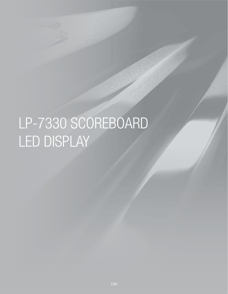# LP-7330 SCOREBOARD LED DISPLAY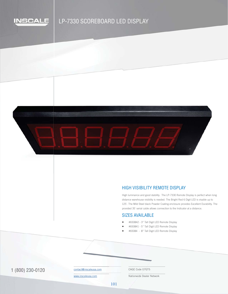

# LP-7330 SCOREBOARD LED DISPLAY



## HIGH VISIBILITY REMOTE DISPLAY

High luminance and good stability. The LP-7330 Remote Display is perfect when long distance warehouse visibility is needed. The Bright Red 6 Digit LED is visable up to 125`. The Mild Steel black Powder Coating enclosure provides Excellent Durability. The provided 35` serial cable allows connection to the Indicator at a distance.

# SIZES AVAILABLE

- #650842 3" Tall Digit LED Remote Display
- #650841 5" Tall Digit LED Remote Display
- #65084 8" Tall Digit LED Remote Display

1 (800) 230-0120 COntact@inscaleusa.com CAGE Code 07GT5

contact@inscaleusa.com

www.inscaleusa.com

Nationwide Dealer Network

101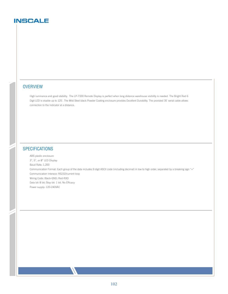# **INSCALE**

#### **OVERVIEW**

High luminance and good stability. The LP-7330 Remote Display is perfect when long distance warehouse visibility is needed. The Bright Red 6 Digit LED is visable up to 125`. The Mild Steel black Powder Coating enclosure provides Excellent Durability. The provided 35` serial cable allows connection to the Indicator at a distance.

## **SPECIFICATIONS**

ABS plastic enclosure 3", 5", or 8" LED Display Baud Rate: 1,200 Communication Format: Each group of the data includes 9 digit ASCII code (including decimal) in low to high order, separated by a breaking sign "=" Communication Interace: RS232/current loop Wiring Code: Black-GND; Red-RXD Data bit: 8 bit; Stop bit: 1 bit; No Efficacy Power supply: 120-240VAC